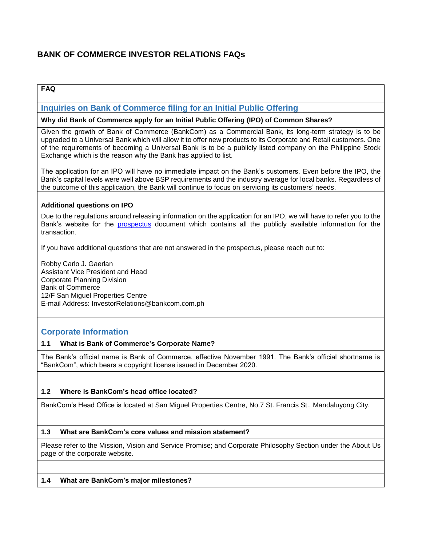# **BANK OF COMMERCE INVESTOR RELATIONS FAQs**

### **FAQ**

# **Inquiries on Bank of Commerce filing for an Initial Public Offering**

#### **Why did Bank of Commerce apply for an Initial Public Offering (IPO) of Common Shares?**

Given the growth of Bank of Commerce (BankCom) as a Commercial Bank, its long-term strategy is to be upgraded to a Universal Bank which will allow it to offer new products to its Corporate and Retail customers. One of the requirements of becoming a Universal Bank is to be a publicly listed company on the Philippine Stock Exchange which is the reason why the Bank has applied to list.

The application for an IPO will have no immediate impact on the Bank's customers. Even before the IPO, the Bank's capital levels were well above BSP requirements and the industry average for local banks. Regardless of the outcome of this application, the Bank will continue to focus on servicing its customers' needs.

#### **Additional questions on IPO**

Due to the regulations around releasing information on the application for an IPO, we will have to refer you to the Bank's website for the [prospectus](https://www.bankcom.com.ph/company-prospectus/) document which contains all the publicly available information for the transaction.

If you have additional questions that are not answered in the prospectus, please reach out to:

Robby Carlo J. Gaerlan Assistant Vice President and Head Corporate Planning Division Bank of Commerce 12/F San Miguel Properties Centre E-mail Address: InvestorRelations@bankcom.com.ph

### **Corporate Information**

#### **1.1 What is Bank of Commerce's Corporate Name?**

The Bank's official name is Bank of Commerce, effective November 1991. The Bank's official shortname is "BankCom", which bears a copyright license issued in December 2020.

### **1.2 Where is BankCom's head office located?**

BankCom's Head Office is located at San Miguel Properties Centre, No.7 St. Francis St., Mandaluyong City.

### **1.3 What are BankCom's core values and mission statement?**

Please refer to the Mission, Vision and Service Promise; and Corporate Philosophy Section under the About Us page of the corporate website.

#### **1.4 What are BankCom's major milestones?**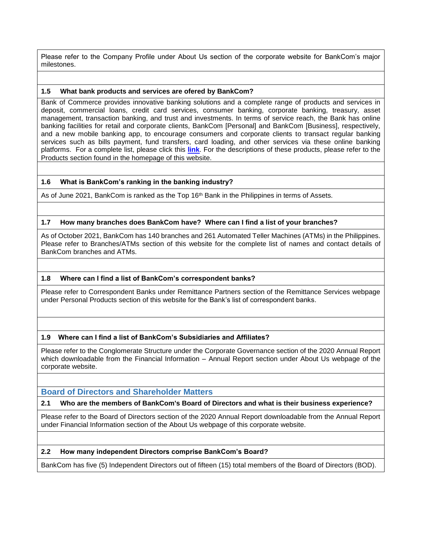Please refer to the Company Profile under About Us section of the corporate website for BankCom's major milestones.

#### **1.5 What bank products and services are ofered by BankCom?**

Bank of Commerce provides innovative banking solutions and a complete range of products and services in deposit, commercial loans, credit card services, consumer banking, corporate banking, treasury, asset management, transaction banking, and trust and investments. In terms of service reach, the Bank has online banking facilities for retail and corporate clients, BankCom [Personal] and BankCom [Business], respectively, and a new mobile banking app, to encourage consumers and corporate clients to transact regular banking services such as bills payment, fund transfers, card loading, and other services via these online banking platforms. For a complete list, please click this **[link](https://www.bankcom.com.ph/list-products-services/)**. For the descriptions of these products, please refer to the Products section found in the homepage of this website.

#### **1.6 What is BankCom's ranking in the banking industry?**

As of June 2021, BankCom is ranked as the Top 16<sup>th</sup> Bank in the Philippines in terms of Assets.

#### **1.7 How many branches does BankCom have? Where can I find a list of your branches?**

As of October 2021, BankCom has 140 branches and 261 Automated Teller Machines (ATMs) in the Philippines. Please refer to Branches/ATMs section of this website for the complete list of names and contact details of BankCom branches and ATMs.

#### **1.8 Where can I find a list of BankCom's correspondent banks?**

Please refer to Correspondent Banks under Remittance Partners section of the Remittance Services webpage under Personal Products section of this website for the Bank's list of correspondent banks.

#### **1.9 Where can I find a list of BankCom's Subsidiaries and Affiliates?**

Please refer to the Conglomerate Structure under the Corporate Governance section of the 2020 Annual Report which downloadable from the Financial Information – Annual Report section under About Us webpage of the corporate website.

### **Board of Directors and Shareholder Matters**

#### **2.1 Who are the members of BankCom's Board of Directors and what is their business experience?**

Please refer to the Board of Directors section of the 2020 Annual Report downloadable from the Annual Report under Financial Information section of the About Us webpage of this corporate website.

#### **2.2 How many independent Directors comprise BankCom's Board?**

BankCom has five (5) Independent Directors out of fifteen (15) total members of the Board of Directors (BOD).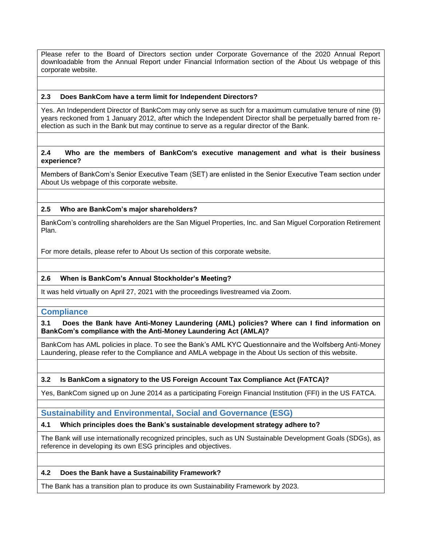Please refer to the Board of Directors section under Corporate Governance of the 2020 Annual Report downloadable from the Annual Report under Financial Information section of the About Us webpage of this corporate website.

### **2.3 Does BankCom have a term limit for Independent Directors?**

Yes. An Independent Director of BankCom may only serve as such for a maximum cumulative tenure of nine (9) years reckoned from 1 January 2012, after which the Independent Director shall be perpetually barred from reelection as such in the Bank but may continue to serve as a regular director of the Bank.

#### **2.4 Who are the members of BankCom's executive management and what is their business experience?**

Members of BankCom's Senior Executive Team (SET) are enlisted in the Senior Executive Team section under About Us webpage of this corporate website.

#### **2.5 Who are BankCom's major shareholders?**

BankCom's controlling shareholders are the San Miguel Properties, Inc. and San Miguel Corporation Retirement Plan.

For more details, please refer to About Us section of this corporate website.

### **2.6 When is BankCom's Annual Stockholder's Meeting?**

It was held virtually on April 27, 2021 with the proceedings livestreamed via Zoom.

### **Compliance**

**3.1 Does the Bank have Anti-Money Laundering (AML) policies? Where can I find information on BankCom's compliance with the Anti-Money Laundering Act (AMLA)?**

BankCom has AML policies in place. To see the Bank's AML KYC Questionnaire and the Wolfsberg Anti-Money Laundering, please refer to the Compliance and AMLA webpage in the About Us section of this website.

### **3.2 Is BankCom a signatory to the US Foreign Account Tax Compliance Act (FATCA)?**

Yes, BankCom signed up on June 2014 as a participating Foreign Financial Institution (FFI) in the US FATCA.

### **Sustainability and Environmental, Social and Governance (ESG)**

# **4.1 Which principles does the Bank's sustainable development strategy adhere to?**

The Bank will use internationally recognized principles, such as UN Sustainable Development Goals (SDGs), as reference in developing its own ESG principles and objectives.

#### **4.2 Does the Bank have a Sustainability Framework?**

The Bank has a transition plan to produce its own Sustainability Framework by 2023.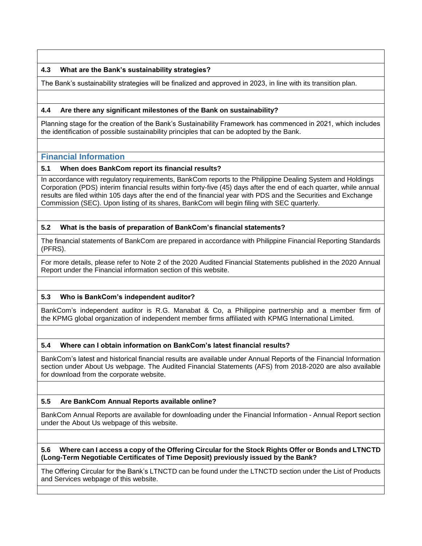### **4.3 What are the Bank's sustainability strategies?**

The Bank's sustainability strategies will be finalized and approved in 2023, in line with its transition plan.

### **4.4 Are there any significant milestones of the Bank on sustainability?**

Planning stage for the creation of the Bank's Sustainability Framework has commenced in 2021, which includes the identification of possible sustainability principles that can be adopted by the Bank.

# **Financial Information**

### **5.1 When does BankCom report its financial results?**

In accordance with regulatory requirements, BankCom reports to the Philippine Dealing System and Holdings Corporation (PDS) interim financial results within forty-five (45) days after the end of each quarter, while annual results are filed within 105 days after the end of the financial year with PDS and the Securities and Exchange Commission (SEC). Upon listing of its shares, BankCom will begin filing with SEC quarterly.

### **5.2 What is the basis of preparation of BankCom's financial statements?**

The financial statements of BankCom are prepared in accordance with Philippine Financial Reporting Standards (PFRS).

For more details, please refer to Note 2 of the 2020 Audited Financial Statements published in the 2020 Annual Report under the Financial information section of this website.

### **5.3 Who is BankCom's independent auditor?**

BankCom's independent auditor is R.G. Manabat & Co, a Philippine partnership and a member firm of the KPMG global organization of independent member firms affiliated with KPMG International Limited.

### **5.4 Where can I obtain information on BankCom's latest financial results?**

BankCom's latest and historical financial results are available under Annual Reports of the Financial Information section under About Us webpage. The Audited Financial Statements (AFS) from 2018-2020 are also available for download from the corporate website.

### **5.5 Are BankCom Annual Reports available online?**

BankCom Annual Reports are available for downloading under the Financial Information - Annual Report section under the About Us webpage of this website.

#### **5.6 Where can I access a copy of the Offering Circular for the Stock Rights Offer or Bonds and LTNCTD (Long-Term Negotiable Certificates of Time Deposit) previously issued by the Bank?**

The Offering Circular for the Bank's LTNCTD can be found under the LTNCTD section under the List of Products and Services webpage of this website.